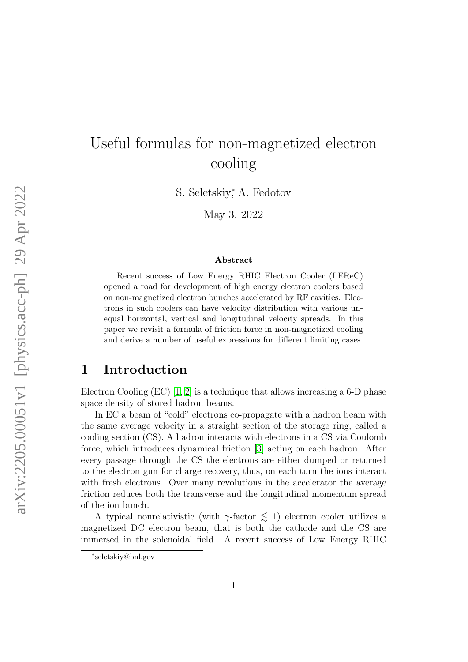# Useful formulas for non-magnetized electron cooling

S. Seletskiy<sup>\*</sup>, A. Fedotov

May 3, 2022

#### Abstract

Recent success of Low Energy RHIC Electron Cooler (LEReC) opened a road for development of high energy electron coolers based on non-magnetized electron bunches accelerated by RF cavities. Electrons in such coolers can have velocity distribution with various unequal horizontal, vertical and longitudinal velocity spreads. In this paper we revisit a formula of friction force in non-magnetized cooling and derive a number of useful expressions for different limiting cases.

## 1 Introduction

Electron Cooling (EC) [\[1,](#page-7-0) [2\]](#page-7-1) is a technique that allows increasing a 6-D phase space density of stored hadron beams.

In EC a beam of "cold" electrons co-propagate with a hadron beam with the same average velocity in a straight section of the storage ring, called a cooling section (CS). A hadron interacts with electrons in a CS via Coulomb force, which introduces dynamical friction [\[3\]](#page-7-2) acting on each hadron. After every passage through the CS the electrons are either dumped or returned to the electron gun for charge recovery, thus, on each turn the ions interact with fresh electrons. Over many revolutions in the accelerator the average friction reduces both the transverse and the longitudinal momentum spread of the ion bunch.

A typical nonrelativistic (with  $\gamma$ -factor  $\lesssim$  1) electron cooler utilizes a magnetized DC electron beam, that is both the cathode and the CS are immersed in the solenoidal field. A recent success of Low Energy RHIC

<sup>∗</sup> seletskiy@bnl.gov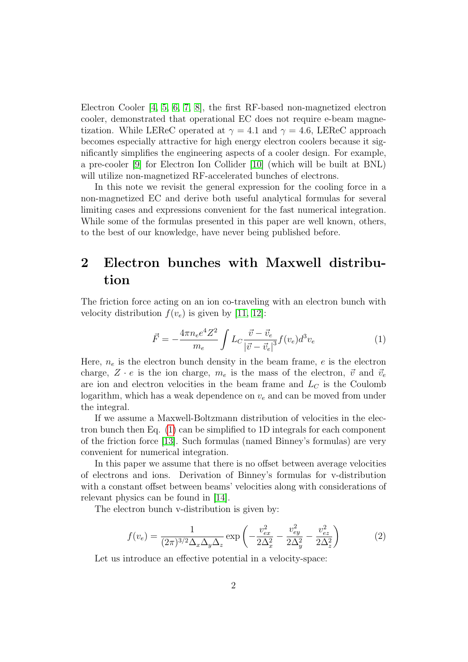Electron Cooler [\[4,](#page-7-3) [5,](#page-8-0) [6,](#page-8-1) [7,](#page-8-2) [8\]](#page-8-3), the first RF-based non-magnetized electron cooler, demonstrated that operational EC does not require e-beam magnetization. While LEReC operated at  $\gamma = 4.1$  and  $\gamma = 4.6$ , LEReC approach becomes especially attractive for high energy electron coolers because it significantly simplifies the engineering aspects of a cooler design. For example, a pre-cooler [\[9\]](#page-8-4) for Electron Ion Collider [\[10\]](#page-8-5) (which will be built at BNL) will utilize non-magnetized RF-accelerated bunches of electrons.

In this note we revisit the general expression for the cooling force in a non-magnetized EC and derive both useful analytical formulas for several limiting cases and expressions convenient for the fast numerical integration. While some of the formulas presented in this paper are well known, others, to the best of our knowledge, have never being published before.

## 2 Electron bunches with Maxwell distribution

The friction force acting on an ion co-traveling with an electron bunch with velocity distribution  $f(v_e)$  is given by [\[11,](#page-8-6) [12\]](#page-8-7):

<span id="page-1-0"></span>
$$
\vec{F} = -\frac{4\pi n_e e^4 Z^2}{m_e} \int L_C \frac{\vec{v} - \vec{v}_e}{|\vec{v} - \vec{v}_e|^3} f(v_e) d^3 v_e \tag{1}
$$

Here,  $n_e$  is the electron bunch density in the beam frame, e is the electron charge,  $Z \cdot e$  is the ion charge,  $m_e$  is the mass of the electron,  $\vec{v}$  and  $\vec{v}_e$ are ion and electron velocities in the beam frame and  $L<sub>C</sub>$  is the Coulomb logarithm, which has a weak dependence on  $v_e$  and can be moved from under the integral.

If we assume a Maxwell-Boltzmann distribution of velocities in the electron bunch then Eq. [\(1\)](#page-1-0) can be simplified to 1D integrals for each component of the friction force [\[13\]](#page-8-8). Such formulas (named Binney's formulas) are very convenient for numerical integration.

In this paper we assume that there is no offset between average velocities of electrons and ions. Derivation of Binney's formulas for v-distribution with a constant offset between beams' velocities along with considerations of relevant physics can be found in [\[14\]](#page-8-9).

The electron bunch v-distribution is given by:

<span id="page-1-1"></span>
$$
f(v_e) = \frac{1}{(2\pi)^{3/2} \Delta_x \Delta_y \Delta_z} \exp\left(-\frac{v_{ex}^2}{2\Delta_x^2} - \frac{v_{ey}^2}{2\Delta_y^2} - \frac{v_{ez}^2}{2\Delta_z^2}\right)
$$
(2)

Let us introduce an effective potential in a velocity-space: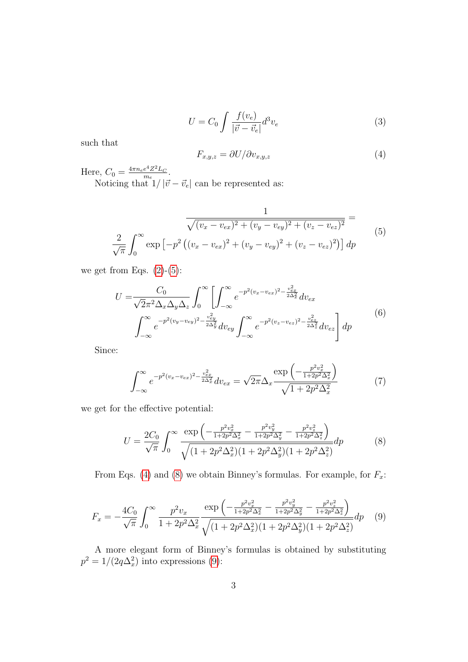$$
U = C_0 \int \frac{f(v_e)}{|\vec{v} - \vec{v}_e|} d^3 v_e \tag{3}
$$

such that

<span id="page-2-1"></span>
$$
F_{x,y,z} = \partial U / \partial v_{x,y,z} \tag{4}
$$

Here,  $C_0 = \frac{4\pi n_e e^4 Z^2 L_C}{m_e}$  $\frac{e^*Z^*L_C}{m_e}$ .

Noticing that  $1/|\vec{v} - \vec{v}_e|$  can be represented as:

<span id="page-2-0"></span>
$$
\frac{1}{\sqrt{(v_x - v_{ex})^2 + (v_y - v_{ey})^2 + (v_z - v_{ez})^2}} =
$$
\n
$$
\frac{2}{\sqrt{\pi}} \int_0^\infty \exp\left[-p^2 \left((v_x - v_{ex})^2 + (v_y - v_{ey})^2 + (v_z - v_{ez})^2\right)\right] dp
$$
\n(5)

we get from Eqs.  $(2)-(5)$  $(2)-(5)$  $(2)-(5)$ :

$$
U = \frac{C_0}{\sqrt{2}\pi^2 \Delta_x \Delta_y \Delta_z} \int_0^\infty \left[ \int_{-\infty}^\infty e^{-p^2 (v_x - v_{ex})^2 - \frac{v_{ex}^2}{2\Delta_x^2}} dv_{ex} \right. \\
\int_{-\infty}^\infty e^{-p^2 (v_y - v_{ey})^2 - \frac{v_{ey}^2}{2\Delta_y^2}} dv_{ey} \int_{-\infty}^\infty e^{-p^2 (v_z - v_{ez})^2 - \frac{v_{ez}^2}{2\Delta_z^2}} dv_{ez} \right] dp
$$
\n(6)

Since:

$$
\int_{-\infty}^{\infty} e^{-p^2(v_x - v_{ex})^2 - \frac{v_{ex}^2}{2\Delta_x^2}} dv_{ex} = \sqrt{2\pi} \Delta_x \frac{\exp\left(-\frac{p^2 v_x^2}{1 + 2p^2 \Delta_x^2}\right)}{\sqrt{1 + 2p^2 \Delta_x^2}} \tag{7}
$$

we get for the effective potential:

<span id="page-2-2"></span>
$$
U = \frac{2C_0}{\sqrt{\pi}} \int_0^\infty \frac{\exp\left(-\frac{p^2 v_x^2}{1 + 2p^2 \Delta_x^2} - \frac{p^2 v_y^2}{1 + 2p^2 \Delta_y^2} - \frac{p^2 v_z^2}{1 + 2p^2 \Delta_z^2}\right)}{\sqrt{(1 + 2p^2 \Delta_x^2)(1 + 2p^2 \Delta_y^2)(1 + 2p^2 \Delta_z^2)}} dp \tag{8}
$$

From Eqs. [\(4\)](#page-2-1) and [\(8\)](#page-2-2) we obtain Binney's formulas. For example, for  $F_x$ :

<span id="page-2-3"></span>
$$
F_x = -\frac{4C_0}{\sqrt{\pi}} \int_0^\infty \frac{p^2 v_x}{1 + 2p^2 \Delta_x^2} \frac{\exp\left(-\frac{p^2 v_x^2}{1 + 2p^2 \Delta_x^2} - \frac{p^2 v_y^2}{1 + 2p^2 \Delta_y^2} - \frac{p^2 v_z^2}{1 + 2p^2 \Delta_x^2}\right)}{\sqrt{(1 + 2p^2 \Delta_x^2)(1 + 2p^2 \Delta_y^2)(1 + 2p^2 \Delta_z^2)}} dp \tag{9}
$$

A more elegant form of Binney's formulas is obtained by substituting  $p^2 = 1/(2q\Delta_x^2)$  into expressions [\(9\)](#page-2-3):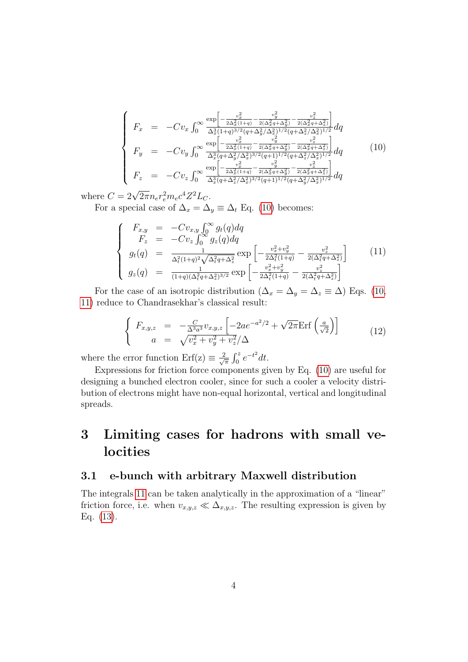<span id="page-3-0"></span>
$$
\begin{cases}\nF_x = -Cv_x \int_0^\infty \frac{\exp\left[-\frac{v_x^2}{2\Delta_x^2(1+q)} - \frac{v_y^2}{2(\Delta_x^2 q + \Delta_y^2)} - \frac{v_z^2}{2(\Delta_x^2 q + \Delta_z^2)}\right]}{\Delta_x^3(1+q)^{3/2}(q + \Delta_y^2/\Delta_x^2)^{1/2}(q + \Delta_z^2/\Delta_x^2)^{1/2}} dq \\
F_y = -Cv_y \int_0^\infty \frac{\exp\left[-\frac{v_x^2}{2\Delta_x^2(1+q)} - \frac{v_y^2}{2(\Delta_x^2 q + \Delta_y^2)} - \frac{v_z^2}{2(\Delta_x^2 q + \Delta_z^2)}\right]}{\Delta_x^3(q + \Delta_y^2/\Delta_x^2)^{3/2}(q + 1)^{1/2}(q + \Delta_z^2/\Delta_x^2)^{1/2}} dq \\
F_z = -Cv_z \int_0^\infty \frac{\exp\left[-\frac{v_x^2}{2\Delta_x^2(1+q)} - \frac{v_y^2}{2(\Delta_x^2 q + \Delta_y^2)} - \frac{v_z^2}{2(\Delta_x^2 q + \Delta_z^2)}\right]}{\Delta_x^3(q + \Delta_z^2/\Delta_x^2)^{3/2}(q + 1)^{1/2}(q + \Delta_y^2/\Delta_x^2)^{1/2}} dq\n\end{cases} \tag{10}
$$

where  $C = 2\sqrt{2\pi} n_e r_e^2 m_e c^4 Z^2 L_C$ .

For a special case of  $\Delta_x = \Delta_y \equiv \Delta_t$  Eq. [\(10\)](#page-3-0) becomes:

<span id="page-3-1"></span>
$$
\begin{cases}\nF_{x,y} = -Cv_{x,y} \int_0^\infty g_t(q) dq \\
F_z = -Cv_z \int_0^\infty g_z(q) dq \\
g_t(q) = \frac{1}{\Delta_t^2 (1+q)^2 \sqrt{\Delta_t^2 q + \Delta_z^2}} \exp\left[ -\frac{v_x^2 + v_y^2}{2\Delta_t^2 (1+q)} - \frac{v_z^2}{2(\Delta_t^2 q + \Delta_z^2)} \right] \\
g_z(q) = \frac{1}{(1+q)(\Delta_t^2 q + \Delta_z^2)^{3/2}} \exp\left[ -\frac{v_x^2 + v_y^2}{2\Delta_t^2 (1+q)} - \frac{v_z^2}{2(\Delta_t^2 q + \Delta_z^2)} \right]\n\end{cases} (11)
$$

For the case of an isotropic distribution ( $\Delta_x = \Delta_y = \Delta_z \equiv \Delta$ ) Eqs. [\(10,](#page-3-0) [11\)](#page-3-1) reduce to Chandrasekhar's classical result:

<span id="page-3-2"></span>
$$
\begin{cases}\nF_{x,y,z} = -\frac{C}{\Delta^3 a^3} v_{x,y,z} \left[ -2ae^{-a^2/2} + \sqrt{2\pi} \text{Erf} \left( \frac{a}{\sqrt{2}} \right) \right] \\
a = \sqrt{v_x^2 + v_y^2 + v_z^2} / \Delta\n\end{cases} (12)
$$

where the error function  $Erf(z) \equiv \frac{2}{\sqrt{2}}$  $\frac{2}{\pi} \int_0^z e^{-t^2} dt$ .

Expressions for friction force components given by Eq. [\(10\)](#page-3-0) are useful for designing a bunched electron cooler, since for such a cooler a velocity distribution of electrons might have non-equal horizontal, vertical and longitudinal spreads.

## 3 Limiting cases for hadrons with small velocities

#### 3.1 e-bunch with arbitrary Maxwell distribution

The integrals [11](#page-3-1) can be taken analytically in the approximation of a "linear" friction force, i.e. when  $v_{x,y,z} \ll \Delta_{x,y,z}$ . The resulting expression is given by Eq. [\(13\)](#page-4-0).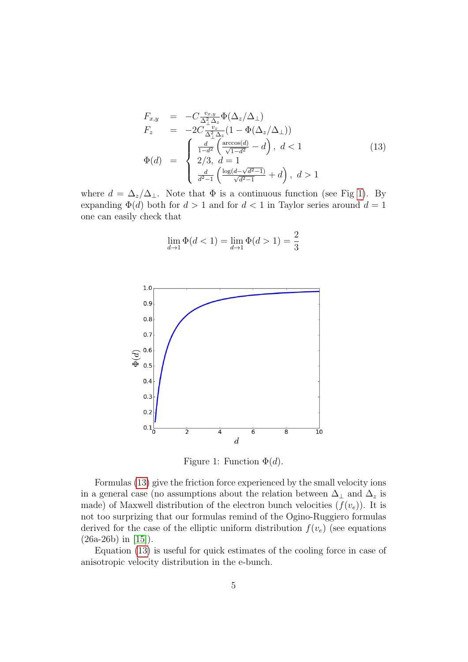<span id="page-4-0"></span>
$$
F_{x,y} = -C \frac{v_{x,y}}{\Delta_{\perp}^{2} \Delta_{z}} \Phi(\Delta_{z}/\Delta_{\perp})
$$
  
\n
$$
F_{z} = -2C \frac{v_{z}}{\Delta_{\perp}^{2} \Delta_{z}} (1 - \Phi(\Delta_{z}/\Delta_{\perp}))
$$
  
\n
$$
\Phi(d) = \begin{cases} \frac{d}{1 - d^{2}} \left( \frac{\arccos(d)}{\sqrt{1 - d^{2}}} - d \right), & d < 1 \\ 2/3, & d = 1 \\ \frac{d}{d^{2} - 1} \left( \frac{\log(d - \sqrt{d^{2} - 1})}{\sqrt{d^{2} - 1}} + d \right), & d > 1 \end{cases}
$$
\n(13)

where  $d = \Delta_z/\Delta_{\perp}$ . Note that  $\Phi$  is a continuous function (see Fig [1\)](#page-4-1). By expanding  $\Phi(d)$  both for  $d > 1$  and for  $d < 1$  in Taylor series around  $d = 1$ one can easily check that

$$
\lim_{d \to 1} \Phi(d < 1) = \lim_{d \to 1} \Phi(d > 1) = \frac{2}{3}
$$



<span id="page-4-1"></span>Figure 1: Function  $\Phi(d)$ .

Formulas [\(13\)](#page-4-0) give the friction force experienced by the small velocity ions in a general case (no assumptions about the relation between  $\Delta_{\perp}$  and  $\Delta_z$  is made) of Maxwell distribution of the electron bunch velocities  $(f(v_e))$ . It is not too surprizing that our formulas remind of the Ogino-Ruggiero formulas derived for the case of the elliptic uniform distribution  $f(v_e)$  (see equations (26a-26b) in [\[15\]](#page-8-10)).

Equation [\(13\)](#page-4-0) is useful for quick estimates of the cooling force in case of anisotropic velocity distribution in the e-bunch.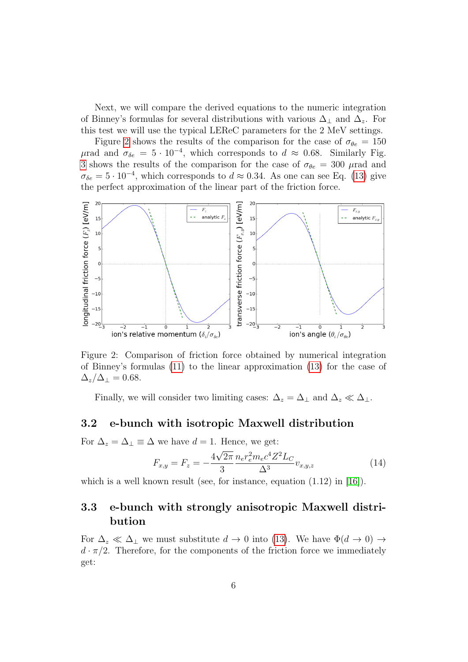Next, we will compare the derived equations to the numeric integration of Binney's formulas for several distributions with various  $\Delta_{\perp}$  and  $\Delta_{z}$ . For this test we will use the typical LEReC parameters for the 2 MeV settings.

Figure [2](#page-5-0) shows the results of the comparison for the case of  $\sigma_{\theta e} = 150$  $μ$ rad and  $σ_{δe} = 5 \cdot 10^{-4}$ , which corresponds to  $d ≈ 0.68$ . Similarly Fig. [3](#page-6-0) shows the results of the comparison for the case of  $\sigma_{\theta e} = 300 \mu$  rad and  $\sigma_{\delta e} = 5 \cdot 10^{-4}$ , which corresponds to  $d \approx 0.34$ . As one can see Eq. [\(13\)](#page-4-0) give the perfect approximation of the linear part of the friction force.



<span id="page-5-0"></span>Figure 2: Comparison of friction force obtained by numerical integration of Binney's formulas [\(11\)](#page-3-1) to the linear approximation [\(13\)](#page-4-0) for the case of  $\Delta_z/\Delta_{\perp}=0.68.$ 

Finally, we will consider two limiting cases:  $\Delta_z = \Delta_\perp$  and  $\Delta_z \ll \Delta_\perp$ .

#### 3.2 e-bunch with isotropic Maxwell distribution

For  $\Delta_z = \Delta_\perp \equiv \Delta$  we have  $d = 1$ . Hence, we get:

$$
F_{x,y} = F_z = -\frac{4\sqrt{2\pi}}{3} \frac{n_e r_e^2 m_e c^4 Z^2 L_C}{\Delta^3} v_{x,y,z}
$$
(14)

which is a well known result (see, for instance, equation  $(1.12)$  in [\[16\]](#page-8-11)).

### 3.3 e-bunch with strongly anisotropic Maxwell distribution

For  $\Delta_z \ll \Delta_\perp$  we must substitute  $d \to 0$  into [\(13\)](#page-4-0). We have  $\Phi(d \to 0) \to$  $d \cdot \pi/2$ . Therefore, for the components of the friction force we immediately get: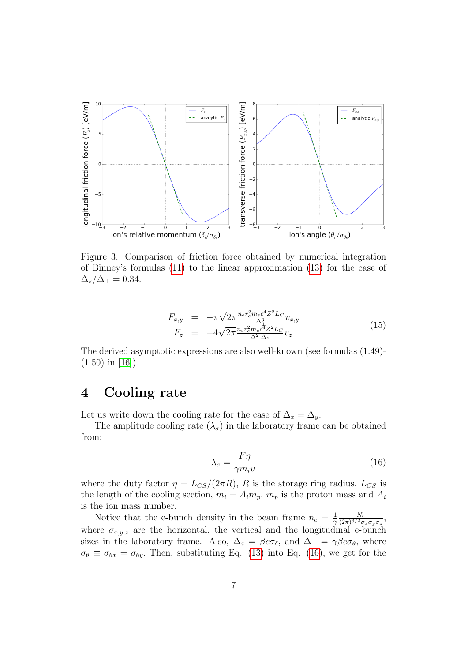

<span id="page-6-0"></span>Figure 3: Comparison of friction force obtained by numerical integration of Binney's formulas [\(11\)](#page-3-1) to the linear approximation [\(13\)](#page-4-0) for the case of  $\Delta_z/\Delta_{\perp}=0.34.$ 

$$
F_{x,y} = -\pi \sqrt{2\pi} \frac{n_e r_e^2 m_e c^4 Z^2 L_C}{\Delta_{\Delta}^3} v_{x,y}
$$
  
\n
$$
F_z = -4\sqrt{2\pi} \frac{n_e r_e^2 m_e c^4 Z^2 L_C}{\Delta_{\Delta}^2 \Delta_z} v_z
$$
\n(15)

The derived asymptotic expressions are also well-known (see formulas (1.49)-  $(1.50)$  in [\[16\]](#page-8-11)).

### 4 Cooling rate

Let us write down the cooling rate for the case of  $\Delta_x = \Delta_y$ .

The amplitude cooling rate  $(\lambda_{\sigma})$  in the laboratory frame can be obtained from:

<span id="page-6-1"></span>
$$
\lambda_{\sigma} = \frac{F\eta}{\gamma m_i v} \tag{16}
$$

where the duty factor  $\eta = L_{CS}/(2\pi R)$ , R is the storage ring radius,  $L_{CS}$  is the length of the cooling section,  $m_i = A_i m_p$ ,  $m_p$  is the proton mass and  $A_i$ is the ion mass number.

Notice that the e-bunch density in the beam frame  $n_e = \frac{1}{2}$  $\mathcal{L}$  $N_e$  $\frac{N_e}{(2\pi)^{3/2}\sigma_x\sigma_y\sigma_z},$ where  $\sigma_{x,y,z}$  are the horizontal, the vertical and the longitudinal e-bunch sizes in the laboratory frame. Also,  $\Delta_z = \beta c \sigma_{\delta}$ , and  $\Delta_{\perp} = \gamma \beta c \sigma_{\theta}$ , where  $\sigma_{\theta} \equiv \sigma_{\theta x} = \sigma_{\theta y}$ , Then, substituting Eq. [\(13\)](#page-4-0) into Eq. [\(16\)](#page-6-1), we get for the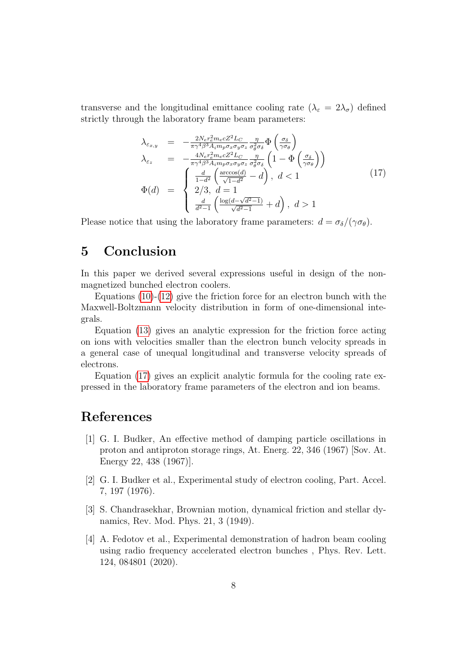transverse and the longitudinal emittance cooling rate  $(\lambda_{\varepsilon} = 2\lambda_{\sigma})$  defined strictly through the laboratory frame beam parameters:

<span id="page-7-4"></span>
$$
\lambda_{\varepsilon_{x,y}} = -\frac{2N_e r_e^2 m_e c Z^2 L_C}{\pi \gamma^4 \beta^3 A_i m_p \sigma_x \sigma_y \sigma_z} \frac{\eta}{\sigma_\theta^2 \sigma_\delta} \Phi \left( \frac{\sigma_\delta}{\gamma \sigma_\theta} \right)
$$
\n
$$
\lambda_{\varepsilon_z} = -\frac{4N_e r_e^2 m_e c Z^2 L_C}{\pi \gamma^4 \beta^3 A_i m_p \sigma_x \sigma_y \sigma_z} \frac{\eta}{\sigma_\theta^2 \sigma_\delta} \left( 1 - \Phi \left( \frac{\sigma_\delta}{\gamma \sigma_\theta} \right) \right)
$$
\n
$$
\Phi(d) = \begin{cases}\n\frac{d}{1 - d^2} \left( \frac{\arccos(d)}{\sqrt{1 - d^2}} - d \right), \ d < 1 \\
2/3, \ d = 1 \\
\frac{d}{d^2 - 1} \left( \frac{\log(d - \sqrt{d^2 - 1})}{\sqrt{d^2 - 1}} + d \right), \ d > 1\n\end{cases} \tag{17}
$$

Please notice that using the laboratory frame parameters:  $d = \sigma_{\delta}/(\gamma \sigma_{\theta})$ .

## 5 Conclusion

In this paper we derived several expressions useful in design of the nonmagnetized bunched electron coolers.

Equations  $(10)-(12)$  $(10)-(12)$  $(10)-(12)$  give the friction force for an electron bunch with the Maxwell-Boltzmann velocity distribution in form of one-dimensional integrals.

Equation [\(13\)](#page-4-0) gives an analytic expression for the friction force acting on ions with velocities smaller than the electron bunch velocity spreads in a general case of unequal longitudinal and transverse velocity spreads of electrons.

Equation [\(17\)](#page-7-4) gives an explicit analytic formula for the cooling rate expressed in the laboratory frame parameters of the electron and ion beams.

## References

- <span id="page-7-0"></span>[1] G. I. Budker, An effective method of damping particle oscillations in proton and antiproton storage rings, At. Energ. 22, 346 (1967) [Sov. At. Energy 22, 438 (1967)].
- <span id="page-7-1"></span>[2] G. I. Budker et al., Experimental study of electron cooling, Part. Accel. 7, 197 (1976).
- <span id="page-7-2"></span>[3] S. Chandrasekhar, Brownian motion, dynamical friction and stellar dynamics, Rev. Mod. Phys. 21, 3 (1949).
- <span id="page-7-3"></span>[4] A. Fedotov et al., Experimental demonstration of hadron beam cooling using radio frequency accelerated electron bunches , Phys. Rev. Lett. 124, 084801 (2020).